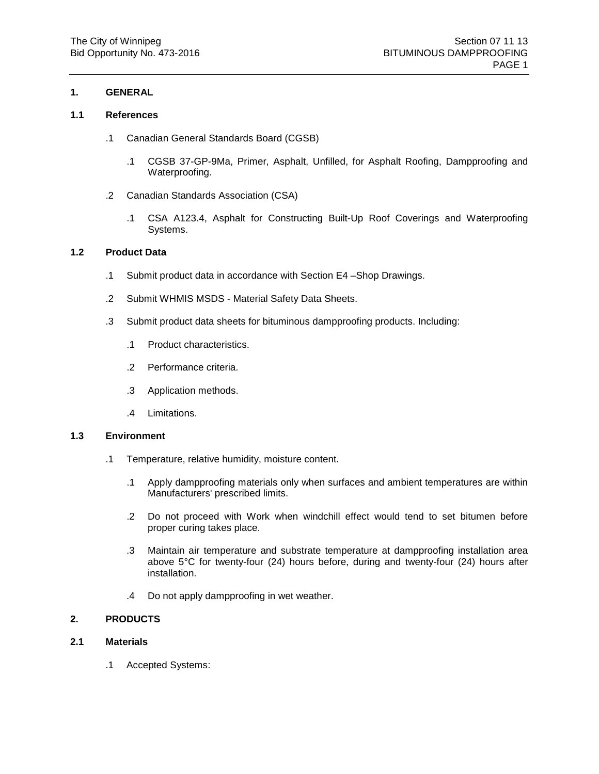# **1.1 References**

- .1 Canadian General Standards Board (CGSB)
	- .1 CGSB 37-GP-9Ma, Primer, Asphalt, Unfilled, for Asphalt Roofing, Dampproofing and Waterproofing.
- .2 Canadian Standards Association (CSA)
	- .1 CSA A123.4, Asphalt for Constructing Built-Up Roof Coverings and Waterproofing Systems.

# **1.2 Product Data**

- .1 Submit product data in accordance with Section E4 –Shop Drawings.
- .2 Submit WHMIS MSDS Material Safety Data Sheets.
- .3 Submit product data sheets for bituminous dampproofing products. Including:
	- .1 Product characteristics.
	- .2 Performance criteria.
	- .3 Application methods.
	- .4 Limitations.

#### **1.3 Environment**

- .1 Temperature, relative humidity, moisture content.
	- .1 Apply dampproofing materials only when surfaces and ambient temperatures are within Manufacturers' prescribed limits.
	- .2 Do not proceed with Work when windchill effect would tend to set bitumen before proper curing takes place.
	- .3 Maintain air temperature and substrate temperature at dampproofing installation area above 5°C for twenty-four (24) hours before, during and twenty-four (24) hours after installation.
	- .4 Do not apply dampproofing in wet weather.

# **2. PRODUCTS**

# **2.1 Materials**

.1 Accepted Systems: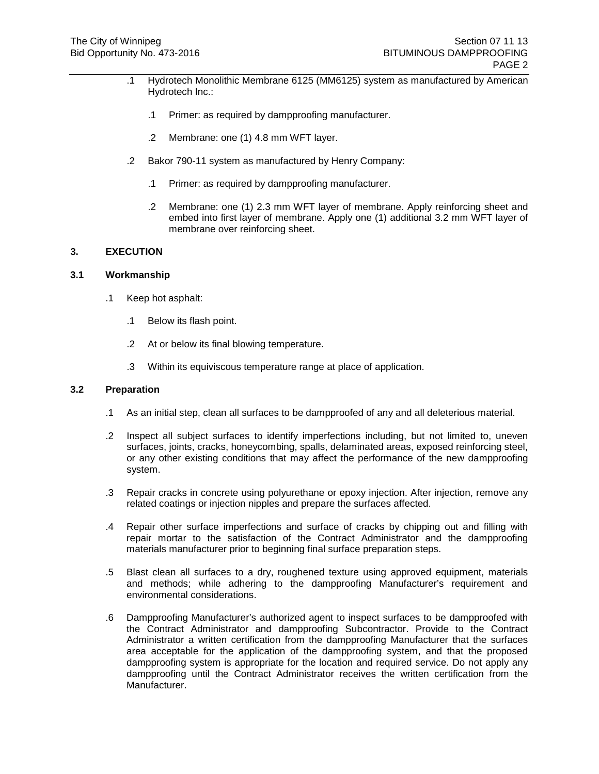- .1 Hydrotech Monolithic Membrane 6125 (MM6125) system as manufactured by American Hydrotech Inc.:
	- .1 Primer: as required by dampproofing manufacturer.
	- .2 Membrane: one (1) 4.8 mm WFT layer.
- .2 Bakor 790-11 system as manufactured by Henry Company:
	- .1 Primer: as required by dampproofing manufacturer.
	- .2 Membrane: one (1) 2.3 mm WFT layer of membrane. Apply reinforcing sheet and embed into first layer of membrane. Apply one (1) additional 3.2 mm WFT layer of membrane over reinforcing sheet.

# **3. EXECUTION**

#### **3.1 Workmanship**

- .1 Keep hot asphalt:
	- .1 Below its flash point.
	- .2 At or below its final blowing temperature.
	- .3 Within its equiviscous temperature range at place of application.

#### **3.2 Preparation**

- .1 As an initial step, clean all surfaces to be dampproofed of any and all deleterious material.
- .2 Inspect all subject surfaces to identify imperfections including, but not limited to, uneven surfaces, joints, cracks, honeycombing, spalls, delaminated areas, exposed reinforcing steel, or any other existing conditions that may affect the performance of the new dampproofing system.
- .3 Repair cracks in concrete using polyurethane or epoxy injection. After injection, remove any related coatings or injection nipples and prepare the surfaces affected.
- .4 Repair other surface imperfections and surface of cracks by chipping out and filling with repair mortar to the satisfaction of the Contract Administrator and the dampproofing materials manufacturer prior to beginning final surface preparation steps.
- .5 Blast clean all surfaces to a dry, roughened texture using approved equipment, materials and methods; while adhering to the dampproofing Manufacturer's requirement and environmental considerations.
- .6 Dampproofing Manufacturer's authorized agent to inspect surfaces to be dampproofed with the Contract Administrator and dampproofing Subcontractor. Provide to the Contract Administrator a written certification from the dampproofing Manufacturer that the surfaces area acceptable for the application of the dampproofing system, and that the proposed dampproofing system is appropriate for the location and required service. Do not apply any dampproofing until the Contract Administrator receives the written certification from the Manufacturer.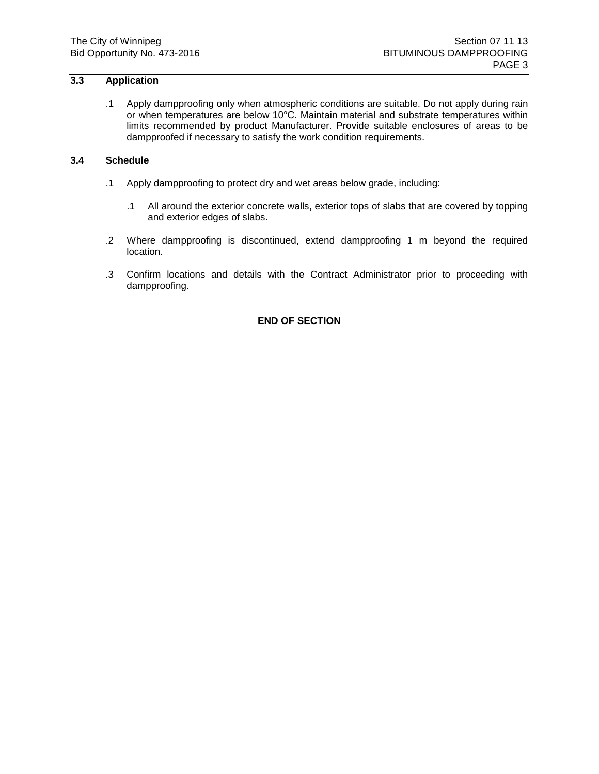# **3.3 Application**

.1 Apply dampproofing only when atmospheric conditions are suitable. Do not apply during rain or when temperatures are below 10°C. Maintain material and substrate temperatures within limits recommended by product Manufacturer. Provide suitable enclosures of areas to be dampproofed if necessary to satisfy the work condition requirements.

#### **3.4 Schedule**

- .1 Apply dampproofing to protect dry and wet areas below grade, including:
	- .1 All around the exterior concrete walls, exterior tops of slabs that are covered by topping and exterior edges of slabs.
- .2 Where dampproofing is discontinued, extend dampproofing 1 m beyond the required location.
- .3 Confirm locations and details with the Contract Administrator prior to proceeding with dampproofing.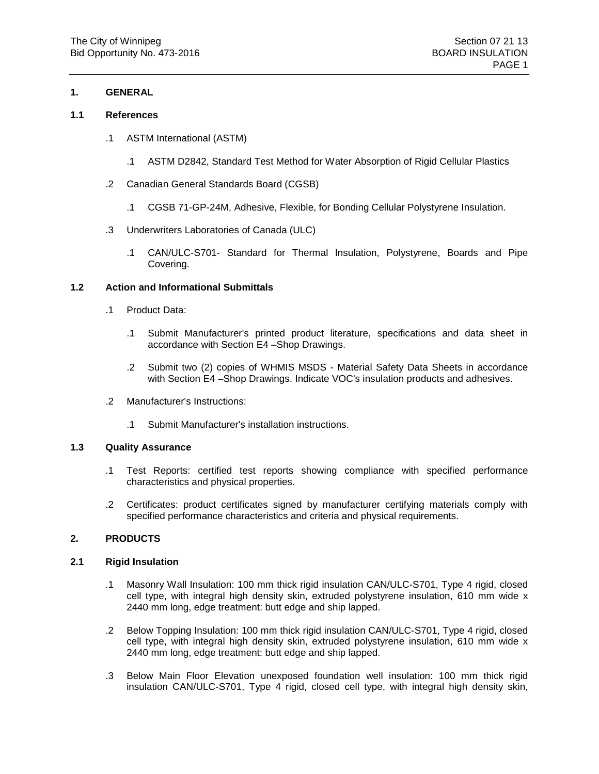#### **1.1 References**

- .1 ASTM International (ASTM)
	- .1 ASTM D2842, Standard Test Method for Water Absorption of Rigid Cellular Plastics
- .2 Canadian General Standards Board (CGSB)
	- .1 CGSB 71-GP-24M, Adhesive, Flexible, for Bonding Cellular Polystyrene Insulation.
- .3 Underwriters Laboratories of Canada (ULC)
	- .1 CAN/ULC-S701- Standard for Thermal Insulation, Polystyrene, Boards and Pipe Covering.

# **1.2 Action and Informational Submittals**

- .1 Product Data:
	- .1 Submit Manufacturer's printed product literature, specifications and data sheet in accordance with Section E4 –Shop Drawings.
	- .2 Submit two (2) copies of WHMIS MSDS Material Safety Data Sheets in accordance with Section E4 –Shop Drawings. Indicate VOC's insulation products and adhesives.
- .2 Manufacturer's Instructions:
	- .1 Submit Manufacturer's installation instructions.

#### **1.3 Quality Assurance**

- .1 Test Reports: certified test reports showing compliance with specified performance characteristics and physical properties.
- .2 Certificates: product certificates signed by manufacturer certifying materials comply with specified performance characteristics and criteria and physical requirements.

#### **2. PRODUCTS**

#### **2.1 Rigid Insulation**

- .1 Masonry Wall Insulation: 100 mm thick rigid insulation CAN/ULC-S701, Type 4 rigid, closed cell type, with integral high density skin, extruded polystyrene insulation, 610 mm wide x 2440 mm long, edge treatment: butt edge and ship lapped.
- .2 Below Topping Insulation: 100 mm thick rigid insulation CAN/ULC-S701, Type 4 rigid, closed cell type, with integral high density skin, extruded polystyrene insulation, 610 mm wide x 2440 mm long, edge treatment: butt edge and ship lapped.
- .3 Below Main Floor Elevation unexposed foundation well insulation: 100 mm thick rigid insulation CAN/ULC-S701, Type 4 rigid, closed cell type, with integral high density skin,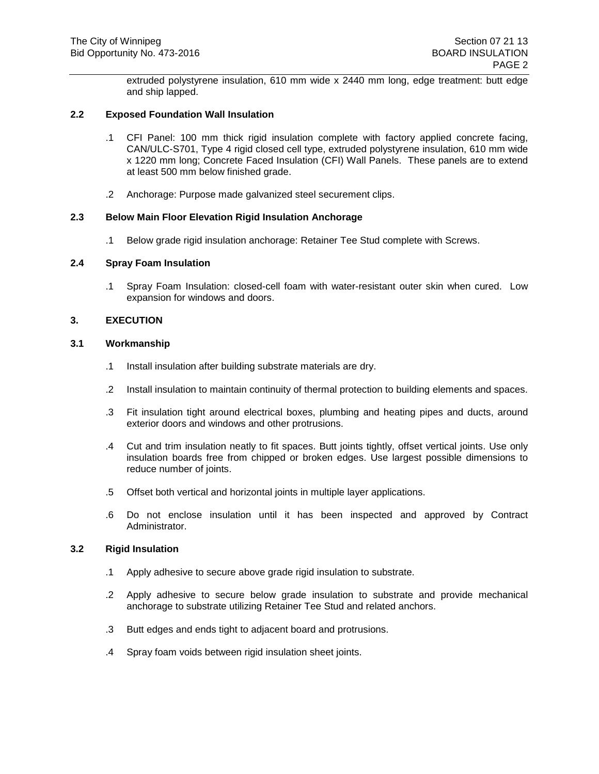extruded polystyrene insulation, 610 mm wide x 2440 mm long, edge treatment: butt edge and ship lapped.

#### **2.2 Exposed Foundation Wall Insulation**

- .1 CFI Panel: 100 mm thick rigid insulation complete with factory applied concrete facing, CAN/ULC-S701, Type 4 rigid closed cell type, extruded polystyrene insulation, 610 mm wide x 1220 mm long; Concrete Faced Insulation (CFI) Wall Panels. These panels are to extend at least 500 mm below finished grade.
- .2 Anchorage: Purpose made galvanized steel securement clips.

#### **2.3 Below Main Floor Elevation Rigid Insulation Anchorage**

.1 Below grade rigid insulation anchorage: Retainer Tee Stud complete with Screws.

# **2.4 Spray Foam Insulation**

.1 Spray Foam Insulation: closed-cell foam with water-resistant outer skin when cured. Low expansion for windows and doors.

#### **3. EXECUTION**

#### **3.1 Workmanship**

- .1 Install insulation after building substrate materials are dry.
- .2 Install insulation to maintain continuity of thermal protection to building elements and spaces.
- .3 Fit insulation tight around electrical boxes, plumbing and heating pipes and ducts, around exterior doors and windows and other protrusions.
- .4 Cut and trim insulation neatly to fit spaces. Butt joints tightly, offset vertical joints. Use only insulation boards free from chipped or broken edges. Use largest possible dimensions to reduce number of joints.
- .5 Offset both vertical and horizontal joints in multiple layer applications.
- .6 Do not enclose insulation until it has been inspected and approved by Contract Administrator.

#### **3.2 Rigid Insulation**

- .1 Apply adhesive to secure above grade rigid insulation to substrate.
- .2 Apply adhesive to secure below grade insulation to substrate and provide mechanical anchorage to substrate utilizing Retainer Tee Stud and related anchors.
- .3 Butt edges and ends tight to adjacent board and protrusions.
- .4 Spray foam voids between rigid insulation sheet joints.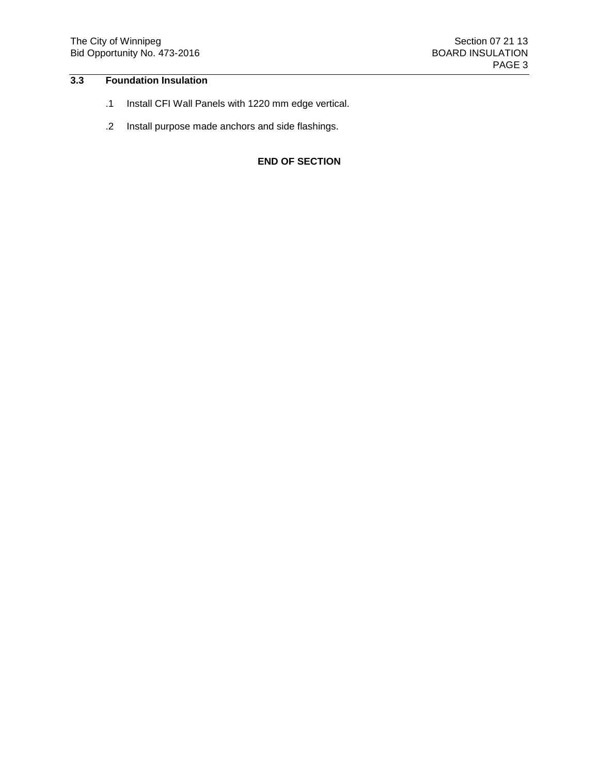# **3.3 Foundation Insulation**

- .1 Install CFI Wall Panels with 1220 mm edge vertical.
- .2 Install purpose made anchors and side flashings.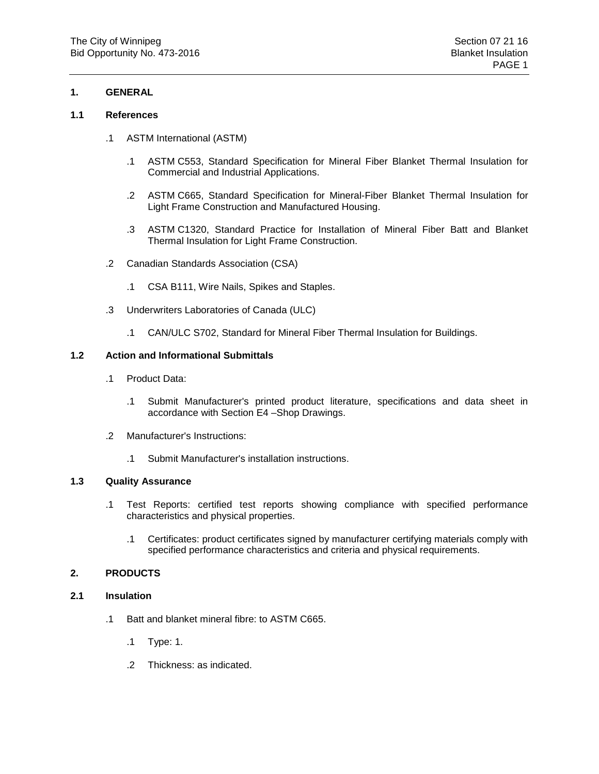### **1.1 References**

- .1 ASTM International (ASTM)
	- .1 ASTM C553, Standard Specification for Mineral Fiber Blanket Thermal Insulation for Commercial and Industrial Applications.
	- .2 ASTM C665, Standard Specification for Mineral-Fiber Blanket Thermal Insulation for Light Frame Construction and Manufactured Housing.
	- .3 ASTM C1320, Standard Practice for Installation of Mineral Fiber Batt and Blanket Thermal Insulation for Light Frame Construction.
- .2 Canadian Standards Association (CSA)
	- .1 CSA B111, Wire Nails, Spikes and Staples.
- .3 Underwriters Laboratories of Canada (ULC)
	- .1 CAN/ULC S702, Standard for Mineral Fiber Thermal Insulation for Buildings.

# **1.2 Action and Informational Submittals**

- .1 Product Data:
	- .1 Submit Manufacturer's printed product literature, specifications and data sheet in accordance with Section E4 –Shop Drawings.
- .2 Manufacturer's Instructions:
	- .1 Submit Manufacturer's installation instructions.

#### **1.3 Quality Assurance**

- .1 Test Reports: certified test reports showing compliance with specified performance characteristics and physical properties.
	- .1 Certificates: product certificates signed by manufacturer certifying materials comply with specified performance characteristics and criteria and physical requirements.

# **2. PRODUCTS**

# **2.1 Insulation**

- .1 Batt and blanket mineral fibre: to ASTM C665.
	- .1 Type: 1.
	- .2 Thickness: as indicated.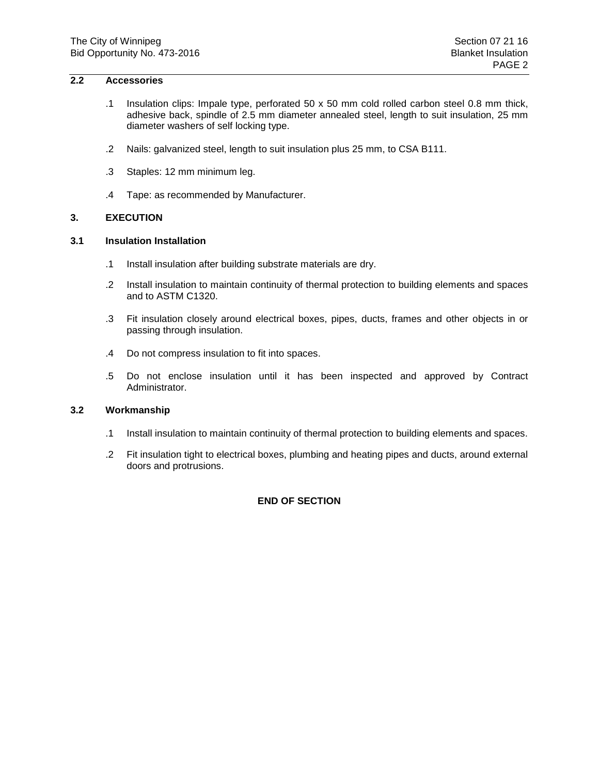### **2.2 Accessories**

- .1 Insulation clips: Impale type, perforated 50 x 50 mm cold rolled carbon steel 0.8 mm thick, adhesive back, spindle of 2.5 mm diameter annealed steel, length to suit insulation, 25 mm diameter washers of self locking type.
- .2 Nails: galvanized steel, length to suit insulation plus 25 mm, to CSA B111.
- .3 Staples: 12 mm minimum leg.
- .4 Tape: as recommended by Manufacturer.

# **3. EXECUTION**

#### **3.1 Insulation Installation**

- .1 Install insulation after building substrate materials are dry.
- .2 Install insulation to maintain continuity of thermal protection to building elements and spaces and to ASTM C1320.
- .3 Fit insulation closely around electrical boxes, pipes, ducts, frames and other objects in or passing through insulation.
- .4 Do not compress insulation to fit into spaces.
- .5 Do not enclose insulation until it has been inspected and approved by Contract Administrator.

# **3.2 Workmanship**

- .1 Install insulation to maintain continuity of thermal protection to building elements and spaces.
- .2 Fit insulation tight to electrical boxes, plumbing and heating pipes and ducts, around external doors and protrusions.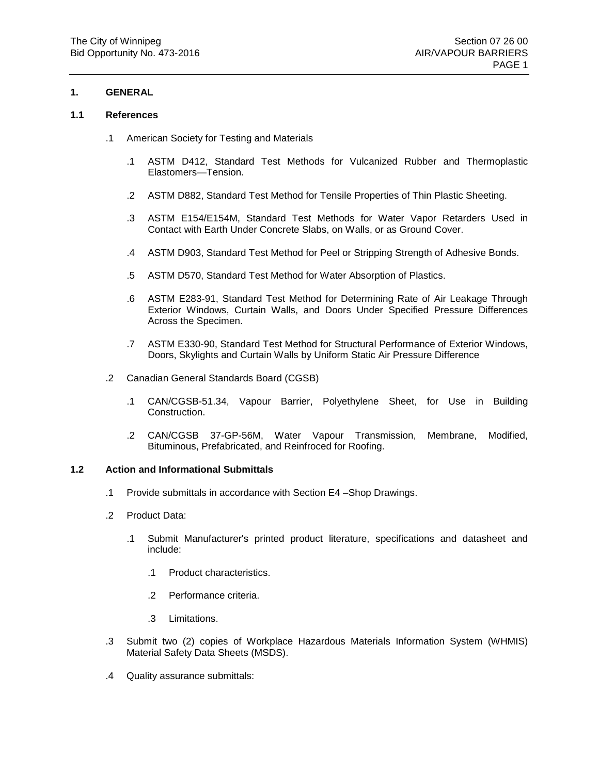#### **1.1 References**

- .1 American Society for Testing and Materials
	- .1 ASTM D412, Standard Test Methods for Vulcanized Rubber and Thermoplastic Elastomers—Tension.
	- .2 ASTM D882, Standard Test Method for Tensile Properties of Thin Plastic Sheeting.
	- .3 ASTM E154/E154M, Standard Test Methods for Water Vapor Retarders Used in Contact with Earth Under Concrete Slabs, on Walls, or as Ground Cover.
	- .4 ASTM D903, Standard Test Method for Peel or Stripping Strength of Adhesive Bonds.
	- .5 ASTM D570, Standard Test Method for Water Absorption of Plastics.
	- .6 ASTM E283-91, Standard Test Method for Determining Rate of Air Leakage Through Exterior Windows, Curtain Walls, and Doors Under Specified Pressure Differences Across the Specimen.
	- .7 ASTM E330-90, Standard Test Method for Structural Performance of Exterior Windows, Doors, Skylights and Curtain Walls by Uniform Static Air Pressure Difference
- .2 Canadian General Standards Board (CGSB)
	- .1 CAN/CGSB-51.34, Vapour Barrier, Polyethylene Sheet, for Use in Building Construction.
	- .2 CAN/CGSB 37-GP-56M, Water Vapour Transmission, Membrane, Modified, Bituminous, Prefabricated, and Reinfroced for Roofing.

#### **1.2 Action and Informational Submittals**

- .1 Provide submittals in accordance with Section E4 –Shop Drawings.
- .2 Product Data:
	- .1 Submit Manufacturer's printed product literature, specifications and datasheet and include:
		- .1 Product characteristics.
		- .2 Performance criteria.
		- .3 Limitations.
- .3 Submit two (2) copies of Workplace Hazardous Materials Information System (WHMIS) Material Safety Data Sheets (MSDS).
- .4 Quality assurance submittals: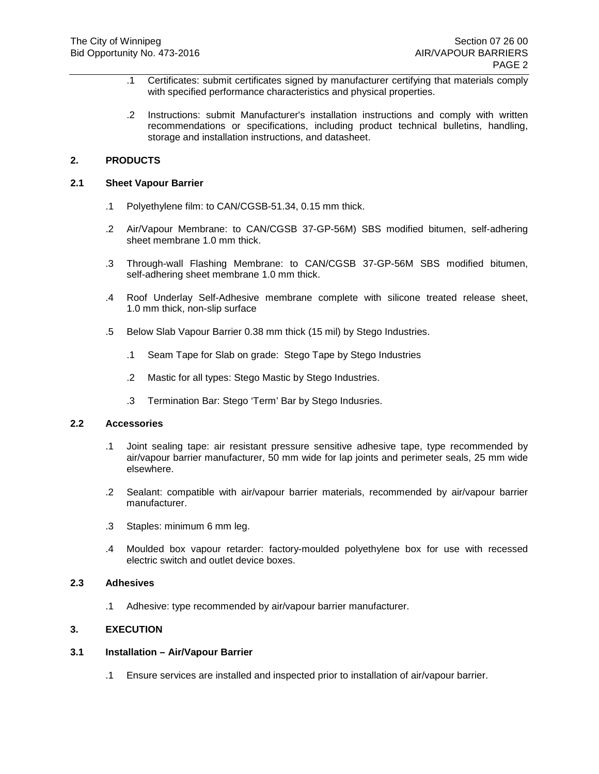- .1 Certificates: submit certificates signed by manufacturer certifying that materials comply with specified performance characteristics and physical properties.
- .2 Instructions: submit Manufacturer's installation instructions and comply with written recommendations or specifications, including product technical bulletins, handling, storage and installation instructions, and datasheet.

### **2. PRODUCTS**

#### **2.1 Sheet Vapour Barrier**

- .1 Polyethylene film: to CAN/CGSB-51.34, 0.15 mm thick.
- .2 Air/Vapour Membrane: to CAN/CGSB 37-GP-56M) SBS modified bitumen, self-adhering sheet membrane 1.0 mm thick.
- .3 Through-wall Flashing Membrane: to CAN/CGSB 37-GP-56M SBS modified bitumen, self-adhering sheet membrane 1.0 mm thick.
- .4 Roof Underlay Self-Adhesive membrane complete with silicone treated release sheet, 1.0 mm thick, non-slip surface
- .5 Below Slab Vapour Barrier 0.38 mm thick (15 mil) by Stego Industries.
	- .1 Seam Tape for Slab on grade: Stego Tape by Stego Industries
	- .2 Mastic for all types: Stego Mastic by Stego Industries.
	- .3 Termination Bar: Stego 'Term' Bar by Stego Indusries.

#### **2.2 Accessories**

- .1 Joint sealing tape: air resistant pressure sensitive adhesive tape, type recommended by air/vapour barrier manufacturer, 50 mm wide for lap joints and perimeter seals, 25 mm wide elsewhere.
- .2 Sealant: compatible with air/vapour barrier materials, recommended by air/vapour barrier manufacturer.
- .3 Staples: minimum 6 mm leg.
- .4 Moulded box vapour retarder: factory-moulded polyethylene box for use with recessed electric switch and outlet device boxes.

#### **2.3 Adhesives**

.1 Adhesive: type recommended by air/vapour barrier manufacturer.

# **3. EXECUTION**

### **3.1 Installation – Air/Vapour Barrier**

.1 Ensure services are installed and inspected prior to installation of air/vapour barrier.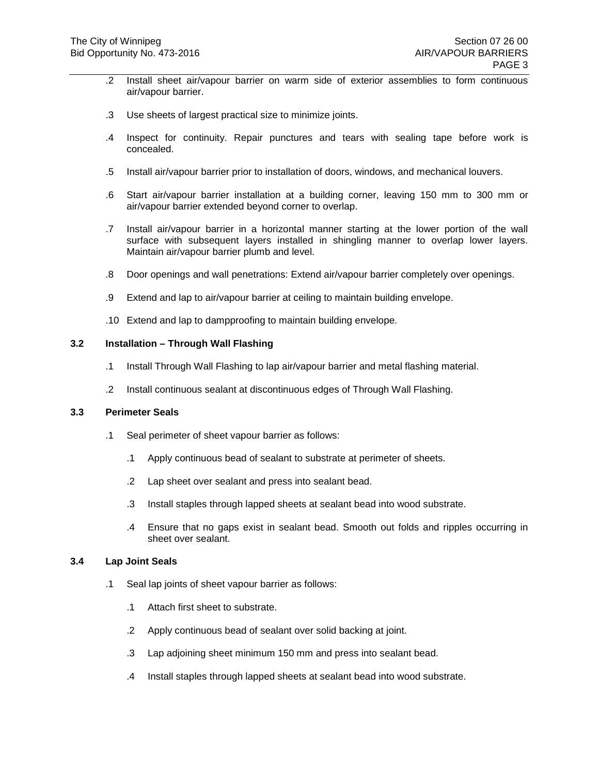- .2 Install sheet air/vapour barrier on warm side of exterior assemblies to form continuous air/vapour barrier.
- .3 Use sheets of largest practical size to minimize joints.
- .4 Inspect for continuity. Repair punctures and tears with sealing tape before work is concealed.
- .5 Install air/vapour barrier prior to installation of doors, windows, and mechanical louvers.
- .6 Start air/vapour barrier installation at a building corner, leaving 150 mm to 300 mm or air/vapour barrier extended beyond corner to overlap.
- .7 Install air/vapour barrier in a horizontal manner starting at the lower portion of the wall surface with subsequent layers installed in shingling manner to overlap lower layers. Maintain air/vapour barrier plumb and level.
- .8 Door openings and wall penetrations: Extend air/vapour barrier completely over openings.
- .9 Extend and lap to air/vapour barrier at ceiling to maintain building envelope.
- .10 Extend and lap to dampproofing to maintain building envelope.

#### **3.2 Installation – Through Wall Flashing**

- .1 Install Through Wall Flashing to lap air/vapour barrier and metal flashing material.
- .2 Install continuous sealant at discontinuous edges of Through Wall Flashing.

#### **3.3 Perimeter Seals**

- .1 Seal perimeter of sheet vapour barrier as follows:
	- .1 Apply continuous bead of sealant to substrate at perimeter of sheets.
	- .2 Lap sheet over sealant and press into sealant bead.
	- .3 Install staples through lapped sheets at sealant bead into wood substrate.
	- .4 Ensure that no gaps exist in sealant bead. Smooth out folds and ripples occurring in sheet over sealant.

#### **3.4 Lap Joint Seals**

- .1 Seal lap joints of sheet vapour barrier as follows:
	- .1 Attach first sheet to substrate.
	- .2 Apply continuous bead of sealant over solid backing at joint.
	- .3 Lap adjoining sheet minimum 150 mm and press into sealant bead.
	- .4 Install staples through lapped sheets at sealant bead into wood substrate.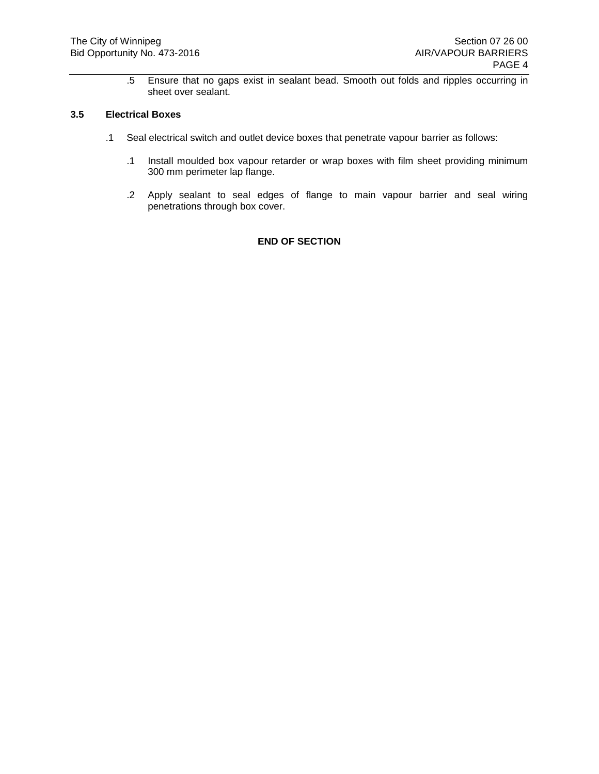.5 Ensure that no gaps exist in sealant bead. Smooth out folds and ripples occurring in sheet over sealant.

### **3.5 Electrical Boxes**

- .1 Seal electrical switch and outlet device boxes that penetrate vapour barrier as follows:
	- .1 Install moulded box vapour retarder or wrap boxes with film sheet providing minimum 300 mm perimeter lap flange.
	- .2 Apply sealant to seal edges of flange to main vapour barrier and seal wiring penetrations through box cover.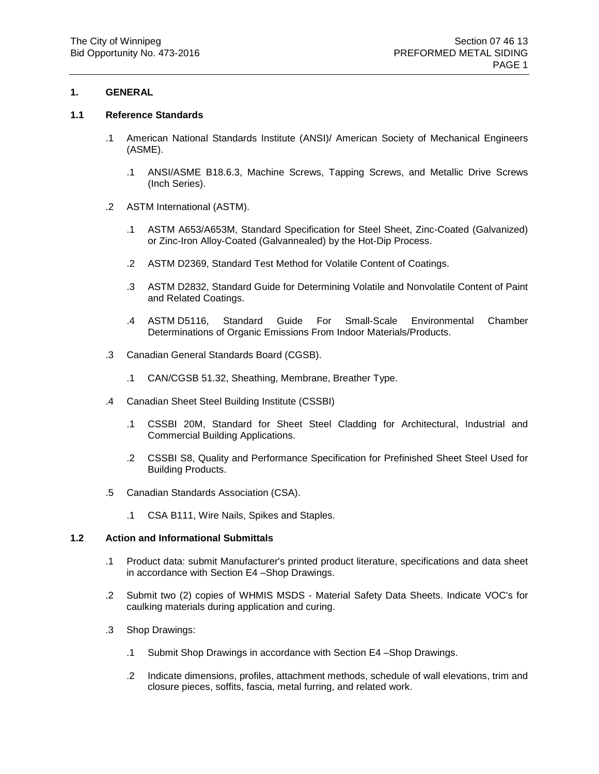#### **1.1 Reference Standards**

- .1 American National Standards Institute (ANSI)/ American Society of Mechanical Engineers (ASME).
	- .1 ANSI/ASME B18.6.3, Machine Screws, Tapping Screws, and Metallic Drive Screws (Inch Series).
- .2 ASTM International (ASTM).
	- .1 ASTM A653/A653M, Standard Specification for Steel Sheet, Zinc-Coated (Galvanized) or Zinc-Iron Alloy-Coated (Galvannealed) by the Hot-Dip Process.
	- .2 ASTM D2369, Standard Test Method for Volatile Content of Coatings.
	- .3 ASTM D2832, Standard Guide for Determining Volatile and Nonvolatile Content of Paint and Related Coatings.
	- .4 ASTM D5116, Standard Guide For Small-Scale Environmental Chamber Determinations of Organic Emissions From Indoor Materials/Products.
- .3 Canadian General Standards Board (CGSB).
	- .1 CAN/CGSB 51.32, Sheathing, Membrane, Breather Type.
- .4 Canadian Sheet Steel Building Institute (CSSBI)
	- .1 CSSBI 20M, Standard for Sheet Steel Cladding for Architectural, Industrial and Commercial Building Applications.
	- .2 CSSBI S8, Quality and Performance Specification for Prefinished Sheet Steel Used for Building Products.
- .5 Canadian Standards Association (CSA).
	- .1 CSA B111, Wire Nails, Spikes and Staples.

# **1.2 Action and Informational Submittals**

- .1 Product data: submit Manufacturer's printed product literature, specifications and data sheet in accordance with Section E4 –Shop Drawings.
- .2 Submit two (2) copies of WHMIS MSDS Material Safety Data Sheets. Indicate VOC's for caulking materials during application and curing.
- .3 Shop Drawings:
	- .1 Submit Shop Drawings in accordance with Section E4 –Shop Drawings.
	- .2 Indicate dimensions, profiles, attachment methods, schedule of wall elevations, trim and closure pieces, soffits, fascia, metal furring, and related work.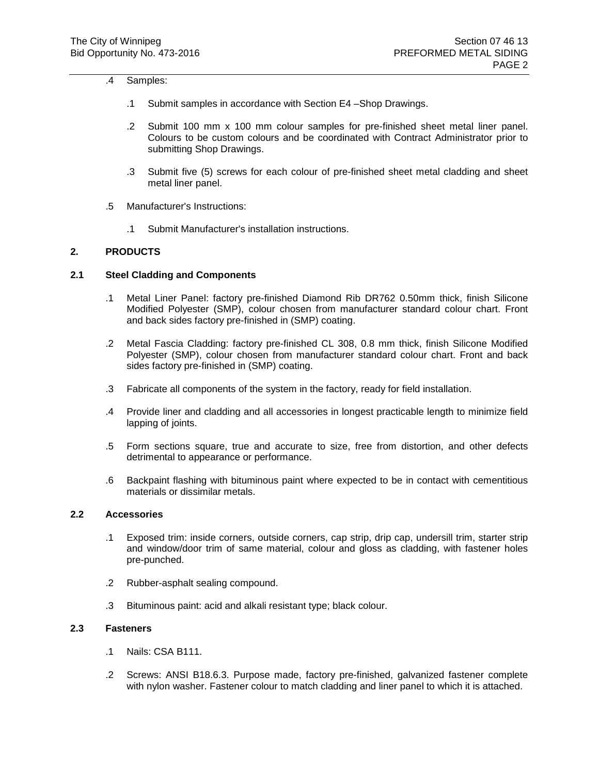#### .4 Samples:

- .1 Submit samples in accordance with Section E4 –Shop Drawings.
- .2 Submit 100 mm x 100 mm colour samples for pre-finished sheet metal liner panel. Colours to be custom colours and be coordinated with Contract Administrator prior to submitting Shop Drawings.
- .3 Submit five (5) screws for each colour of pre-finished sheet metal cladding and sheet metal liner panel.
- .5 Manufacturer's Instructions:
	- .1 Submit Manufacturer's installation instructions.

#### **2. PRODUCTS**

# **2.1 Steel Cladding and Components**

- .1 Metal Liner Panel: factory pre-finished Diamond Rib DR762 0.50mm thick, finish Silicone Modified Polyester (SMP), colour chosen from manufacturer standard colour chart. Front and back sides factory pre-finished in (SMP) coating.
- .2 Metal Fascia Cladding: factory pre-finished CL 308, 0.8 mm thick, finish Silicone Modified Polyester (SMP), colour chosen from manufacturer standard colour chart. Front and back sides factory pre-finished in (SMP) coating.
- .3 Fabricate all components of the system in the factory, ready for field installation.
- .4 Provide liner and cladding and all accessories in longest practicable length to minimize field lapping of joints.
- .5 Form sections square, true and accurate to size, free from distortion, and other defects detrimental to appearance or performance.
- .6 Backpaint flashing with bituminous paint where expected to be in contact with cementitious materials or dissimilar metals.

#### **2.2 Accessories**

- .1 Exposed trim: inside corners, outside corners, cap strip, drip cap, undersill trim, starter strip and window/door trim of same material, colour and gloss as cladding, with fastener holes pre-punched.
- .2 Rubber-asphalt sealing compound.
- .3 Bituminous paint: acid and alkali resistant type; black colour.

### **2.3 Fasteners**

- .1 Nails: CSA B111.
- .2 Screws: ANSI B18.6.3. Purpose made, factory pre-finished, galvanized fastener complete with nylon washer. Fastener colour to match cladding and liner panel to which it is attached.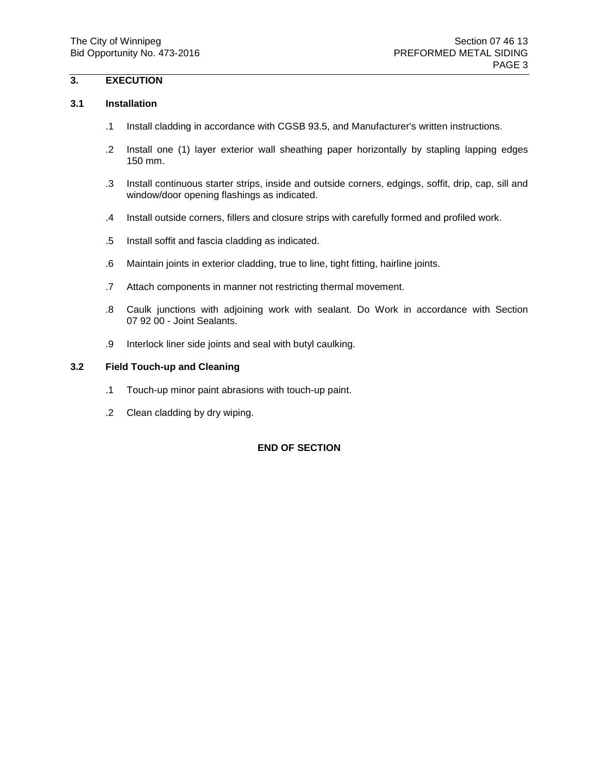# **3. EXECUTION**

#### **3.1 Installation**

- .1 Install cladding in accordance with CGSB 93.5, and Manufacturer's written instructions.
- .2 Install one (1) layer exterior wall sheathing paper horizontally by stapling lapping edges 150 mm.
- .3 Install continuous starter strips, inside and outside corners, edgings, soffit, drip, cap, sill and window/door opening flashings as indicated.
- .4 Install outside corners, fillers and closure strips with carefully formed and profiled work.
- .5 Install soffit and fascia cladding as indicated.
- .6 Maintain joints in exterior cladding, true to line, tight fitting, hairline joints.
- .7 Attach components in manner not restricting thermal movement.
- .8 Caulk junctions with adjoining work with sealant. Do Work in accordance with Section 07 92 00 - Joint Sealants.
- .9 Interlock liner side joints and seal with butyl caulking.

# **3.2 Field Touch-up and Cleaning**

- .1 Touch-up minor paint abrasions with touch-up paint.
- .2 Clean cladding by dry wiping.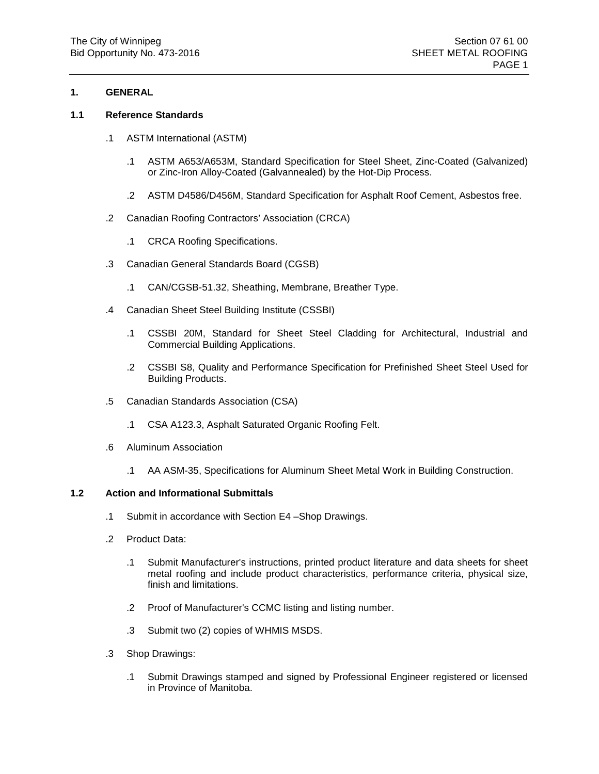#### **1.1 Reference Standards**

- .1 ASTM International (ASTM)
	- .1 ASTM A653/A653M, Standard Specification for Steel Sheet, Zinc-Coated (Galvanized) or Zinc-Iron Alloy-Coated (Galvannealed) by the Hot-Dip Process.
	- .2 ASTM D4586/D456M, Standard Specification for Asphalt Roof Cement, Asbestos free.
- .2 Canadian Roofing Contractors' Association (CRCA)
	- .1 CRCA Roofing Specifications.
- .3 Canadian General Standards Board (CGSB)
	- .1 CAN/CGSB-51.32, Sheathing, Membrane, Breather Type.
- .4 Canadian Sheet Steel Building Institute (CSSBI)
	- .1 CSSBI 20M, Standard for Sheet Steel Cladding for Architectural, Industrial and Commercial Building Applications.
	- .2 CSSBI S8, Quality and Performance Specification for Prefinished Sheet Steel Used for Building Products.
- .5 Canadian Standards Association (CSA)
	- .1 CSA A123.3, Asphalt Saturated Organic Roofing Felt.
- .6 Aluminum Association
	- .1 AA ASM-35, Specifications for Aluminum Sheet Metal Work in Building Construction.

#### **1.2 Action and Informational Submittals**

- .1 Submit in accordance with Section E4 –Shop Drawings.
- .2 Product Data:
	- .1 Submit Manufacturer's instructions, printed product literature and data sheets for sheet metal roofing and include product characteristics, performance criteria, physical size, finish and limitations.
	- .2 Proof of Manufacturer's CCMC listing and listing number.
	- .3 Submit two (2) copies of WHMIS MSDS.
- .3 Shop Drawings:
	- .1 Submit Drawings stamped and signed by Professional Engineer registered or licensed in Province of Manitoba.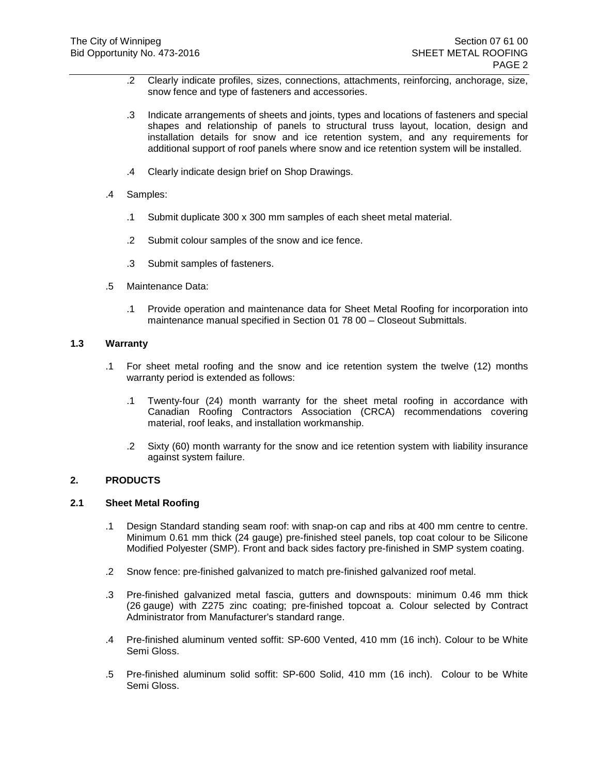- .2 Clearly indicate profiles, sizes, connections, attachments, reinforcing, anchorage, size, snow fence and type of fasteners and accessories.
- .3 Indicate arrangements of sheets and joints, types and locations of fasteners and special shapes and relationship of panels to structural truss layout, location, design and installation details for snow and ice retention system, and any requirements for additional support of roof panels where snow and ice retention system will be installed.
- .4 Clearly indicate design brief on Shop Drawings.
- .4 Samples:
	- .1 Submit duplicate 300 x 300 mm samples of each sheet metal material.
	- .2 Submit colour samples of the snow and ice fence.
	- .3 Submit samples of fasteners.
- .5 Maintenance Data:
	- .1 Provide operation and maintenance data for Sheet Metal Roofing for incorporation into maintenance manual specified in Section 01 78 00 – Closeout Submittals.

# **1.3 Warranty**

- .1 For sheet metal roofing and the snow and ice retention system the twelve (12) months warranty period is extended as follows:
	- .1 Twenty-four (24) month warranty for the sheet metal roofing in accordance with Canadian Roofing Contractors Association (CRCA) recommendations covering material, roof leaks, and installation workmanship.
	- .2 Sixty (60) month warranty for the snow and ice retention system with liability insurance against system failure.

# **2. PRODUCTS**

#### **2.1 Sheet Metal Roofing**

- .1 Design Standard standing seam roof: with snap-on cap and ribs at 400 mm centre to centre. Minimum 0.61 mm thick (24 gauge) pre-finished steel panels, top coat colour to be Silicone Modified Polyester (SMP). Front and back sides factory pre-finished in SMP system coating.
- .2 Snow fence: pre-finished galvanized to match pre-finished galvanized roof metal.
- .3 Pre-finished galvanized metal fascia, gutters and downspouts: minimum 0.46 mm thick (26 gauge) with Z275 zinc coating; pre-finished topcoat a. Colour selected by Contract Administrator from Manufacturer's standard range.
- .4 Pre-finished aluminum vented soffit: SP-600 Vented, 410 mm (16 inch). Colour to be White Semi Gloss.
- .5 Pre-finished aluminum solid soffit: SP-600 Solid, 410 mm (16 inch). Colour to be White Semi Gloss.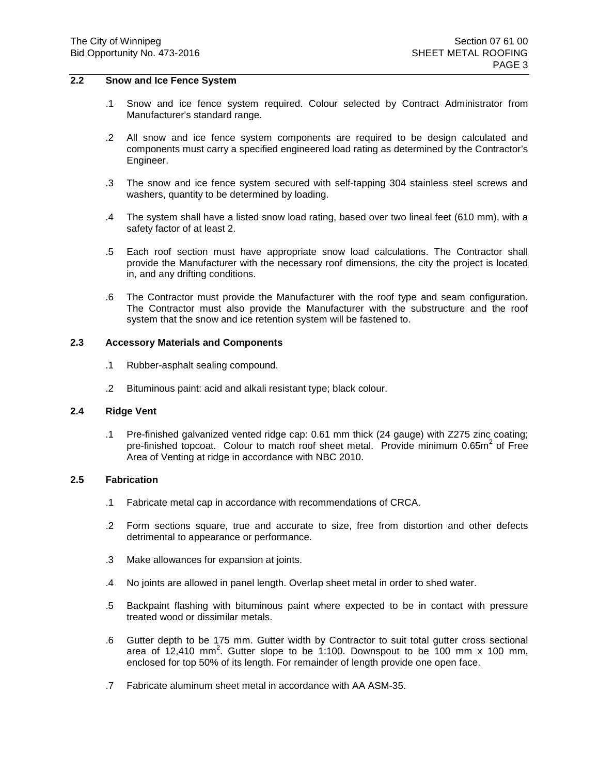#### **2.2 Snow and Ice Fence System**

- .1 Snow and ice fence system required. Colour selected by Contract Administrator from Manufacturer's standard range.
- .2 All snow and ice fence system components are required to be design calculated and components must carry a specified engineered load rating as determined by the Contractor's Engineer.
- .3 The snow and ice fence system secured with self-tapping 304 stainless steel screws and washers, quantity to be determined by loading.
- .4 The system shall have a listed snow load rating, based over two lineal feet (610 mm), with a safety factor of at least 2.
- .5 Each roof section must have appropriate snow load calculations. The Contractor shall provide the Manufacturer with the necessary roof dimensions, the city the project is located in, and any drifting conditions.
- .6 The Contractor must provide the Manufacturer with the roof type and seam configuration. The Contractor must also provide the Manufacturer with the substructure and the roof system that the snow and ice retention system will be fastened to.

#### **2.3 Accessory Materials and Components**

- .1 Rubber-asphalt sealing compound.
- .2 Bituminous paint: acid and alkali resistant type; black colour.

### **2.4 Ridge Vent**

.1 Pre-finished galvanized vented ridge cap: 0.61 mm thick (24 gauge) with Z275 zinc coating; pre-finished topcoat. Colour to match roof sheet metal. Provide minimum  $0.65m<sup>2</sup>$  of Free Area of Venting at ridge in accordance with NBC 2010.

#### **2.5 Fabrication**

- .1 Fabricate metal cap in accordance with recommendations of CRCA.
- .2 Form sections square, true and accurate to size, free from distortion and other defects detrimental to appearance or performance.
- .3 Make allowances for expansion at joints.
- .4 No joints are allowed in panel length. Overlap sheet metal in order to shed water.
- .5 Backpaint flashing with bituminous paint where expected to be in contact with pressure treated wood or dissimilar metals.
- .6 Gutter depth to be 175 mm. Gutter width by Contractor to suit total gutter cross sectional area of  $12,410$  mm<sup>2</sup>. Gutter slope to be 1:100. Downspout to be 100 mm x 100 mm, enclosed for top 50% of its length. For remainder of length provide one open face.
- .7 Fabricate aluminum sheet metal in accordance with AA ASM-35.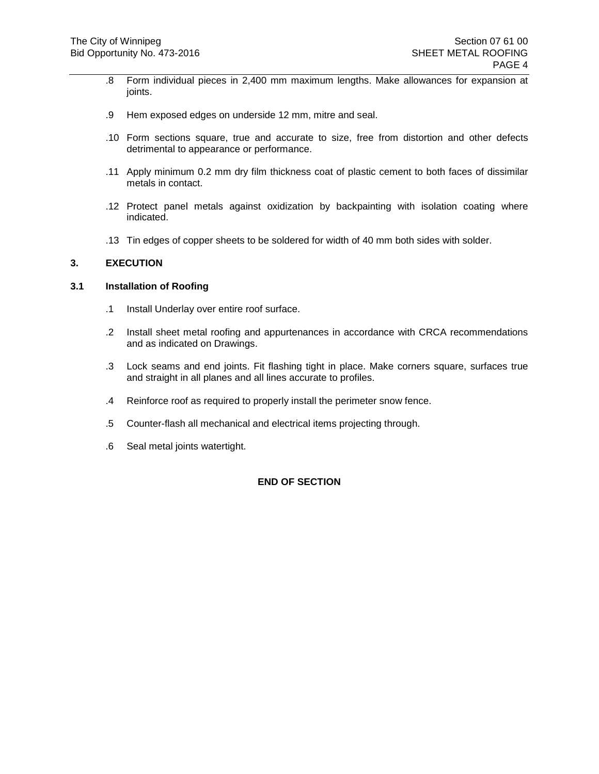- .8 Form individual pieces in 2,400 mm maximum lengths. Make allowances for expansion at joints.
- .9 Hem exposed edges on underside 12 mm, mitre and seal.
- .10 Form sections square, true and accurate to size, free from distortion and other defects detrimental to appearance or performance.
- .11 Apply minimum 0.2 mm dry film thickness coat of plastic cement to both faces of dissimilar metals in contact.
- .12 Protect panel metals against oxidization by backpainting with isolation coating where indicated.
- .13 Tin edges of copper sheets to be soldered for width of 40 mm both sides with solder.

# **3. EXECUTION**

#### **3.1 Installation of Roofing**

- .1 Install Underlay over entire roof surface.
- .2 Install sheet metal roofing and appurtenances in accordance with CRCA recommendations and as indicated on Drawings.
- .3 Lock seams and end joints. Fit flashing tight in place. Make corners square, surfaces true and straight in all planes and all lines accurate to profiles.
- .4 Reinforce roof as required to properly install the perimeter snow fence.
- .5 Counter-flash all mechanical and electrical items projecting through.
- .6 Seal metal joints watertight.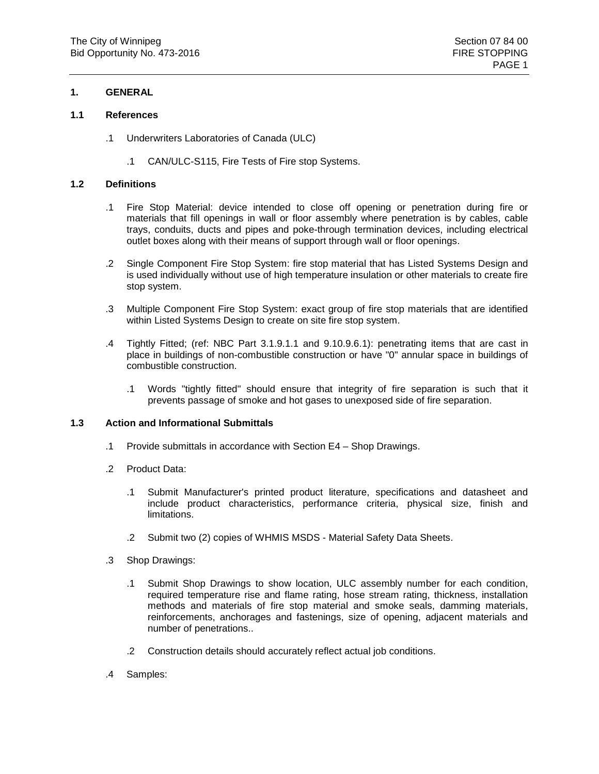#### **1.1 References**

- .1 Underwriters Laboratories of Canada (ULC)
	- .1 CAN/ULC-S115, Fire Tests of Fire stop Systems.

#### **1.2 Definitions**

- .1 Fire Stop Material: device intended to close off opening or penetration during fire or materials that fill openings in wall or floor assembly where penetration is by cables, cable trays, conduits, ducts and pipes and poke-through termination devices, including electrical outlet boxes along with their means of support through wall or floor openings.
- .2 Single Component Fire Stop System: fire stop material that has Listed Systems Design and is used individually without use of high temperature insulation or other materials to create fire stop system.
- .3 Multiple Component Fire Stop System: exact group of fire stop materials that are identified within Listed Systems Design to create on site fire stop system.
- .4 Tightly Fitted; (ref: NBC Part 3.1.9.1.1 and 9.10.9.6.1): penetrating items that are cast in place in buildings of non-combustible construction or have "0" annular space in buildings of combustible construction.
	- .1 Words "tightly fitted" should ensure that integrity of fire separation is such that it prevents passage of smoke and hot gases to unexposed side of fire separation.

#### **1.3 Action and Informational Submittals**

- .1 Provide submittals in accordance with Section E4 Shop Drawings.
- .2 Product Data:
	- .1 Submit Manufacturer's printed product literature, specifications and datasheet and include product characteristics, performance criteria, physical size, finish and limitations.
	- .2 Submit two (2) copies of WHMIS MSDS Material Safety Data Sheets.
- .3 Shop Drawings:
	- .1 Submit Shop Drawings to show location, ULC assembly number for each condition, required temperature rise and flame rating, hose stream rating, thickness, installation methods and materials of fire stop material and smoke seals, damming materials, reinforcements, anchorages and fastenings, size of opening, adjacent materials and number of penetrations..
	- .2 Construction details should accurately reflect actual job conditions.
- .4 Samples: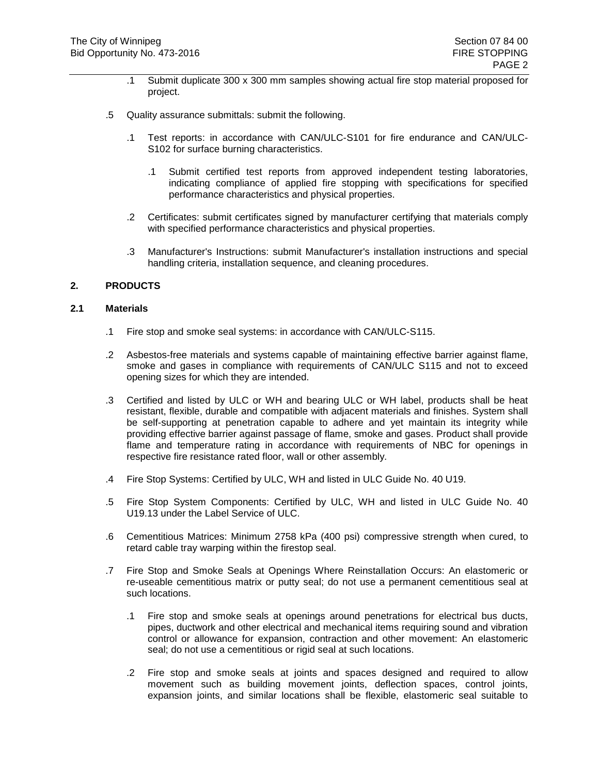- .1 Submit duplicate 300 x 300 mm samples showing actual fire stop material proposed for project.
- .5 Quality assurance submittals: submit the following.
	- .1 Test reports: in accordance with CAN/ULC-S101 for fire endurance and CAN/ULC-S102 for surface burning characteristics.
		- .1 Submit certified test reports from approved independent testing laboratories, indicating compliance of applied fire stopping with specifications for specified performance characteristics and physical properties.
	- .2 Certificates: submit certificates signed by manufacturer certifying that materials comply with specified performance characteristics and physical properties.
	- .3 Manufacturer's Instructions: submit Manufacturer's installation instructions and special handling criteria, installation sequence, and cleaning procedures.

# **2. PRODUCTS**

### **2.1 Materials**

- .1 Fire stop and smoke seal systems: in accordance with CAN/ULC-S115.
- .2 Asbestos-free materials and systems capable of maintaining effective barrier against flame, smoke and gases in compliance with requirements of CAN/ULC S115 and not to exceed opening sizes for which they are intended.
- .3 Certified and listed by ULC or WH and bearing ULC or WH label, products shall be heat resistant, flexible, durable and compatible with adjacent materials and finishes. System shall be self-supporting at penetration capable to adhere and yet maintain its integrity while providing effective barrier against passage of flame, smoke and gases. Product shall provide flame and temperature rating in accordance with requirements of NBC for openings in respective fire resistance rated floor, wall or other assembly.
- .4 Fire Stop Systems: Certified by ULC, WH and listed in ULC Guide No. 40 U19.
- .5 Fire Stop System Components: Certified by ULC, WH and listed in ULC Guide No. 40 U19.13 under the Label Service of ULC.
- .6 Cementitious Matrices: Minimum 2758 kPa (400 psi) compressive strength when cured, to retard cable tray warping within the firestop seal.
- .7 Fire Stop and Smoke Seals at Openings Where Reinstallation Occurs: An elastomeric or re-useable cementitious matrix or putty seal; do not use a permanent cementitious seal at such locations.
	- .1 Fire stop and smoke seals at openings around penetrations for electrical bus ducts, pipes, ductwork and other electrical and mechanical items requiring sound and vibration control or allowance for expansion, contraction and other movement: An elastomeric seal; do not use a cementitious or rigid seal at such locations.
	- .2 Fire stop and smoke seals at joints and spaces designed and required to allow movement such as building movement joints, deflection spaces, control joints, expansion joints, and similar locations shall be flexible, elastomeric seal suitable to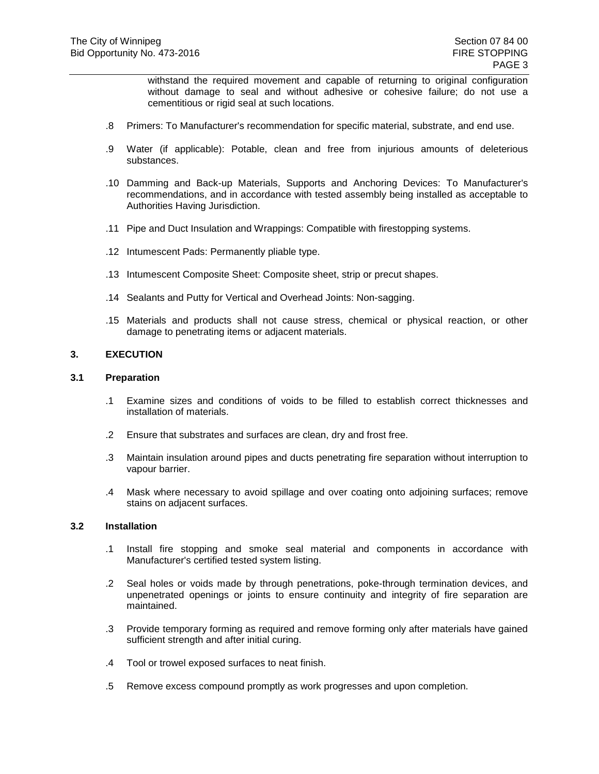withstand the required movement and capable of returning to original configuration without damage to seal and without adhesive or cohesive failure; do not use a cementitious or rigid seal at such locations.

- .8 Primers: To Manufacturer's recommendation for specific material, substrate, and end use.
- .9 Water (if applicable): Potable, clean and free from injurious amounts of deleterious substances.
- .10 Damming and Back-up Materials, Supports and Anchoring Devices: To Manufacturer's recommendations, and in accordance with tested assembly being installed as acceptable to Authorities Having Jurisdiction.
- .11 Pipe and Duct Insulation and Wrappings: Compatible with firestopping systems.
- .12 Intumescent Pads: Permanently pliable type.
- .13 Intumescent Composite Sheet: Composite sheet, strip or precut shapes.
- .14 Sealants and Putty for Vertical and Overhead Joints: Non-sagging.
- .15 Materials and products shall not cause stress, chemical or physical reaction, or other damage to penetrating items or adjacent materials.

#### **3. EXECUTION**

#### **3.1 Preparation**

- .1 Examine sizes and conditions of voids to be filled to establish correct thicknesses and installation of materials.
- .2 Ensure that substrates and surfaces are clean, dry and frost free.
- .3 Maintain insulation around pipes and ducts penetrating fire separation without interruption to vapour barrier.
- .4 Mask where necessary to avoid spillage and over coating onto adjoining surfaces; remove stains on adjacent surfaces.

#### **3.2 Installation**

- .1 Install fire stopping and smoke seal material and components in accordance with Manufacturer's certified tested system listing.
- .2 Seal holes or voids made by through penetrations, poke-through termination devices, and unpenetrated openings or joints to ensure continuity and integrity of fire separation are maintained.
- .3 Provide temporary forming as required and remove forming only after materials have gained sufficient strength and after initial curing.
- .4 Tool or trowel exposed surfaces to neat finish.
- .5 Remove excess compound promptly as work progresses and upon completion.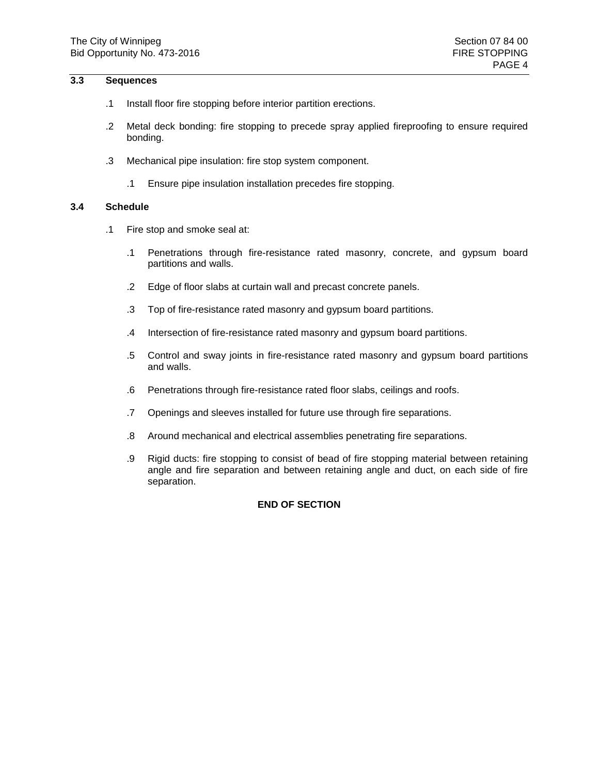# **3.3 Sequences**

- .1 Install floor fire stopping before interior partition erections.
- .2 Metal deck bonding: fire stopping to precede spray applied fireproofing to ensure required bonding.
- .3 Mechanical pipe insulation: fire stop system component.
	- .1 Ensure pipe insulation installation precedes fire stopping.

#### **3.4 Schedule**

- .1 Fire stop and smoke seal at:
	- .1 Penetrations through fire-resistance rated masonry, concrete, and gypsum board partitions and walls.
	- .2 Edge of floor slabs at curtain wall and precast concrete panels.
	- .3 Top of fire-resistance rated masonry and gypsum board partitions.
	- .4 Intersection of fire-resistance rated masonry and gypsum board partitions.
	- .5 Control and sway joints in fire-resistance rated masonry and gypsum board partitions and walls.
	- .6 Penetrations through fire-resistance rated floor slabs, ceilings and roofs.
	- .7 Openings and sleeves installed for future use through fire separations.
	- .8 Around mechanical and electrical assemblies penetrating fire separations.
	- .9 Rigid ducts: fire stopping to consist of bead of fire stopping material between retaining angle and fire separation and between retaining angle and duct, on each side of fire separation.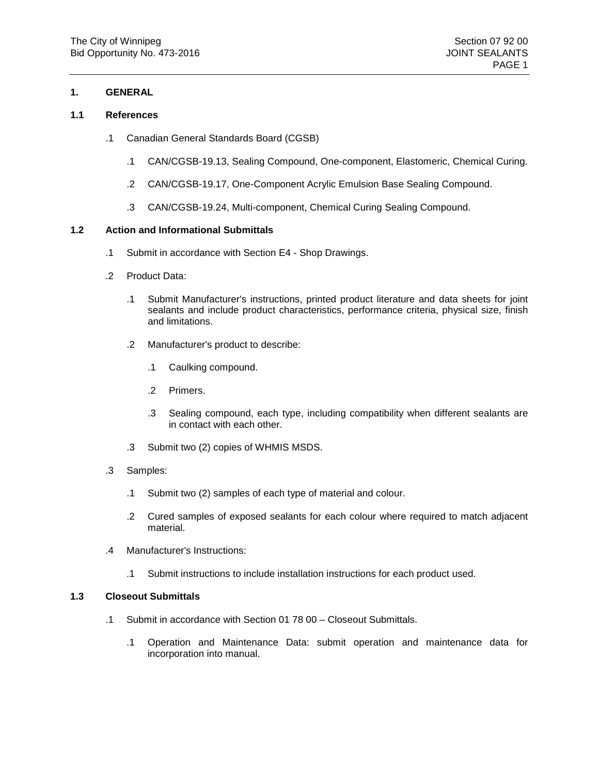#### **1.1 References**

- .1 Canadian General Standards Board (CGSB)
	- .1 CAN/CGSB-19.13, Sealing Compound, One-component, Elastomeric, Chemical Curing.
	- .2 CAN/CGSB-19.17, One-Component Acrylic Emulsion Base Sealing Compound.
	- .3 CAN/CGSB-19.24, Multi-component, Chemical Curing Sealing Compound.

#### **1.2 Action and Informational Submittals**

- .1 Submit in accordance with Section E4 Shop Drawings.
- .2 Product Data:
	- .1 Submit Manufacturer's instructions, printed product literature and data sheets for joint sealants and include product characteristics, performance criteria, physical size, finish and limitations.
	- .2 Manufacturer's product to describe:
		- .1 Caulking compound.
		- .2 Primers.
		- .3 Sealing compound, each type, including compatibility when different sealants are in contact with each other.
	- .3 Submit two (2) copies of WHMIS MSDS.
- .3 Samples:
	- .1 Submit two (2) samples of each type of material and colour.
	- .2 Cured samples of exposed sealants for each colour where required to match adjacent material.
- .4 Manufacturer's Instructions:
	- .1 Submit instructions to include installation instructions for each product used.

#### **1.3 Closeout Submittals**

- .1 Submit in accordance with Section 01 78 00 Closeout Submittals.
	- .1 Operation and Maintenance Data: submit operation and maintenance data for incorporation into manual.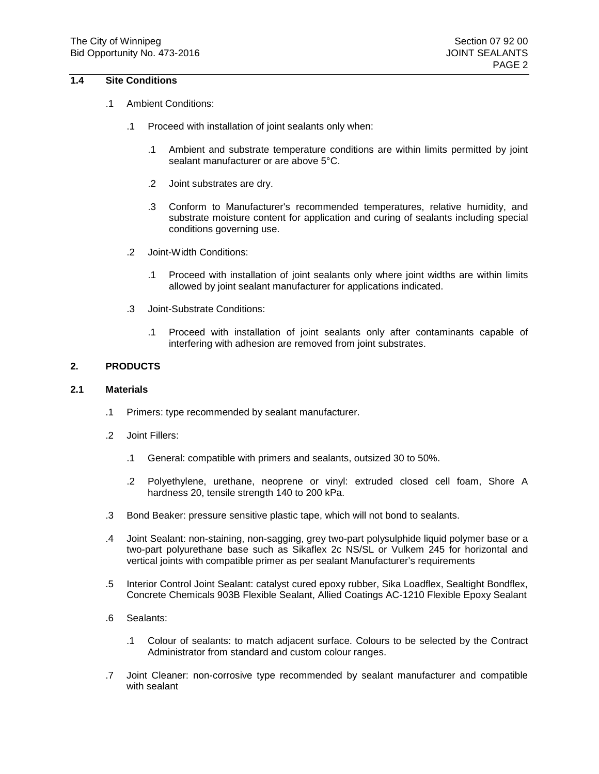# **1.4 Site Conditions**

- .1 Ambient Conditions:
	- .1 Proceed with installation of joint sealants only when:
		- .1 Ambient and substrate temperature conditions are within limits permitted by joint sealant manufacturer or are above 5°C.
		- .2 Joint substrates are dry.
		- .3 Conform to Manufacturer's recommended temperatures, relative humidity, and substrate moisture content for application and curing of sealants including special conditions governing use.
	- .2 Joint-Width Conditions:
		- .1 Proceed with installation of joint sealants only where joint widths are within limits allowed by joint sealant manufacturer for applications indicated.
	- .3 Joint-Substrate Conditions:
		- .1 Proceed with installation of joint sealants only after contaminants capable of interfering with adhesion are removed from joint substrates.

#### **2. PRODUCTS**

#### **2.1 Materials**

- .1 Primers: type recommended by sealant manufacturer.
- .2 Joint Fillers:
	- .1 General: compatible with primers and sealants, outsized 30 to 50%.
	- .2 Polyethylene, urethane, neoprene or vinyl: extruded closed cell foam, Shore A hardness 20, tensile strength 140 to 200 kPa.
- .3 Bond Beaker: pressure sensitive plastic tape, which will not bond to sealants.
- .4 Joint Sealant: non-staining, non-sagging, grey two-part polysulphide liquid polymer base or a two-part polyurethane base such as Sikaflex 2c NS/SL or Vulkem 245 for horizontal and vertical joints with compatible primer as per sealant Manufacturer's requirements
- .5 Interior Control Joint Sealant: catalyst cured epoxy rubber, Sika Loadflex, Sealtight Bondflex, Concrete Chemicals 903B Flexible Sealant, Allied Coatings AC-1210 Flexible Epoxy Sealant
- .6 Sealants:
	- .1 Colour of sealants: to match adjacent surface. Colours to be selected by the Contract Administrator from standard and custom colour ranges.
- .7 Joint Cleaner: non-corrosive type recommended by sealant manufacturer and compatible with sealant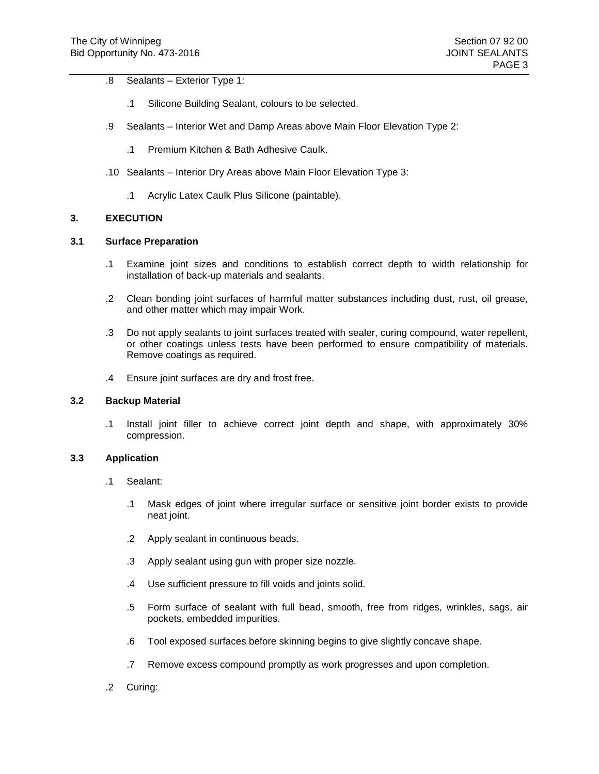- .8 Sealants Exterior Type 1:
	- .1 Silicone Building Sealant, colours to be selected.
- .9 Sealants Interior Wet and Damp Areas above Main Floor Elevation Type 2:
	- .1 Premium Kitchen & Bath Adhesive Caulk.
- .10 Sealants Interior Dry Areas above Main Floor Elevation Type 3:
	- .1 Acrylic Latex Caulk Plus Silicone (paintable).

# **3. EXECUTION**

#### **3.1 Surface Preparation**

- .1 Examine joint sizes and conditions to establish correct depth to width relationship for installation of back-up materials and sealants.
- .2 Clean bonding joint surfaces of harmful matter substances including dust, rust, oil grease, and other matter which may impair Work.
- .3 Do not apply sealants to joint surfaces treated with sealer, curing compound, water repellent, or other coatings unless tests have been performed to ensure compatibility of materials. Remove coatings as required.
- .4 Ensure joint surfaces are dry and frost free.

#### **3.2 Backup Material**

.1 Install joint filler to achieve correct joint depth and shape, with approximately 30% compression.

#### **3.3 Application**

- .1 Sealant:
	- .1 Mask edges of joint where irregular surface or sensitive joint border exists to provide neat joint.
	- .2 Apply sealant in continuous beads.
	- .3 Apply sealant using gun with proper size nozzle.
	- .4 Use sufficient pressure to fill voids and joints solid.
	- .5 Form surface of sealant with full bead, smooth, free from ridges, wrinkles, sags, air pockets, embedded impurities.
	- .6 Tool exposed surfaces before skinning begins to give slightly concave shape.
	- .7 Remove excess compound promptly as work progresses and upon completion.
- .2 Curing: